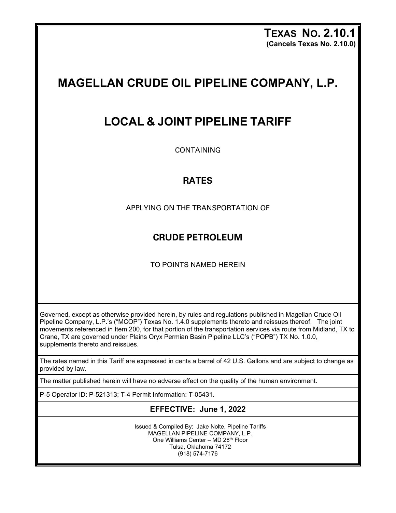**TEXAS NO. 2.10.1 (Cancels Texas No. 2.10.0)**

# **MAGELLAN CRUDE OIL PIPELINE COMPANY, L.P.**

## **LOCAL & JOINT PIPELINE TARIFF**

CONTAINING

#### **RATES**

APPLYING ON THE TRANSPORTATION OF

### **CRUDE PETROLEUM**

TO POINTS NAMED HEREIN

Governed, except as otherwise provided herein, by rules and regulations published in Magellan Crude Oil Pipeline Company, L.P.'s ("MCOP") Texas No. 1.4.0 supplements thereto and reissues thereof. The joint movements referenced in Item 200, for that portion of the transportation services via route from Midland, TX to Crane, TX are governed under Plains Oryx Permian Basin Pipeline LLC's ("POPB") TX No. 1.0.0, supplements thereto and reissues.

The rates named in this Tariff are expressed in cents a barrel of 42 U.S. Gallons and are subject to change as provided by law.

The matter published herein will have no adverse effect on the quality of the human environment.

P-5 Operator ID: P-521313; T-4 Permit Information: T-05431.

#### **EFFECTIVE: June 1, 2022**

Issued & Compiled By: Jake Nolte, Pipeline Tariffs MAGELLAN PIPELINE COMPANY, L.P. One Williams Center – MD 28th Floor Tulsa, Oklahoma 74172 (918) 574-7176